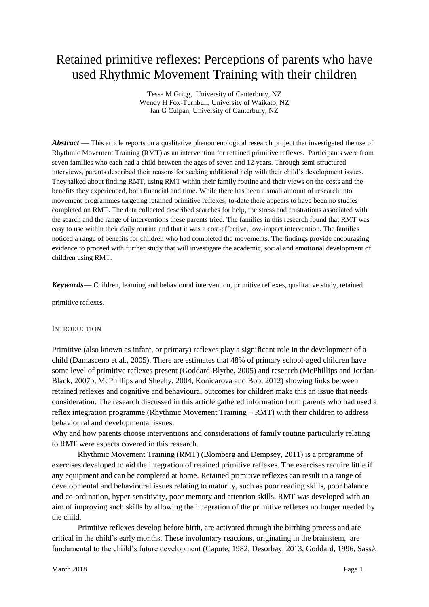# Retained primitive reflexes: Perceptions of parents who have used Rhythmic Movement Training with their children

Tessa M Grigg, University of Canterbury, NZ Wendy H Fox-Turnbull, University of Waikato, NZ Ian G Culpan, University of Canterbury, NZ

*Abstract* — This article reports on a qualitative phenomenological research project that investigated the use of Rhythmic Movement Training (RMT) as an intervention for retained primitive reflexes. Participants were from seven families who each had a child between the ages of seven and 12 years. Through semi-structured interviews, parents described their reasons for seeking additional help with their child's development issues. They talked about finding RMT, using RMT within their family routine and their views on the costs and the benefits they experienced, both financial and time. While there has been a small amount of research into movement programmes targeting retained primitive reflexes, to-date there appears to have been no studies completed on RMT. The data collected described searches for help, the stress and frustrations associated with the search and the range of interventions these parents tried. The families in this research found that RMT was easy to use within their daily routine and that it was a cost-effective, low-impact intervention. The families noticed a range of benefits for children who had completed the movements. The findings provide encouraging evidence to proceed with further study that will investigate the academic, social and emotional development of children using RMT.

*Keywords*— Children, learning and behavioural intervention, primitive reflexes, qualitative study, retained

primitive reflexes.

## **INTRODUCTION**

Primitive (also known as infant, or primary) reflexes play a significant role in the development of a child (Damasceno et al., 2005). There are estimates that 48% of primary school-aged children have some level of primitive reflexes present (Goddard-Blythe, 2005) and research (McPhillips and Jordan-Black, 2007b, McPhillips and Sheehy, 2004, Konicarova and Bob, 2012) showing links between retained reflexes and cognitive and behavioural outcomes for children make this an issue that needs consideration. The research discussed in this article gathered information from parents who had used a reflex integration programme (Rhythmic Movement Training – RMT) with their children to address behavioural and developmental issues.

Why and how parents choose interventions and considerations of family routine particularly relating to RMT were aspects covered in this research.

Rhythmic Movement Training (RMT) (Blomberg and Dempsey, 2011) is a programme of exercises developed to aid the integration of retained primitive reflexes. The exercises require little if any equipment and can be completed at home. Retained primitive reflexes can result in a range of developmental and behavioural issues relating to maturity, such as poor reading skills, poor balance and co-ordination, hyper-sensitivity, poor memory and attention skills. RMT was developed with an aim of improving such skills by allowing the integration of the primitive reflexes no longer needed by the child.

Primitive reflexes develop before birth, are activated through the birthing process and are critical in the child's early months. These involuntary reactions, originating in the brainstem, are fundamental to the chiild's future development (Capute, 1982, Desorbay, 2013, Goddard, 1996, Sassé,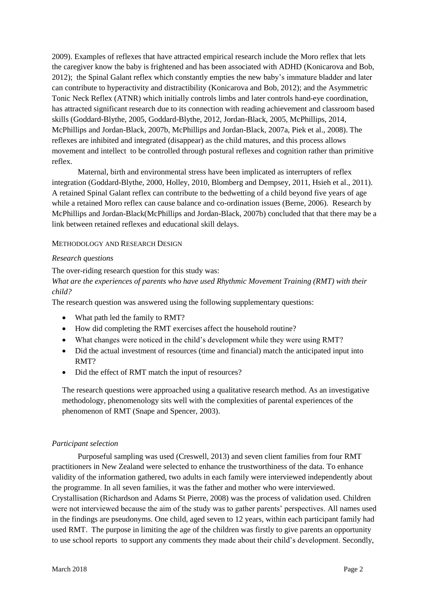2009). Examples of reflexes that have attracted empirical research include the Moro reflex that lets the caregiver know the baby is frightened and has been associated with ADHD (Konicarova and Bob, 2012); the Spinal Galant reflex which constantly empties the new baby's immature bladder and later can contribute to hyperactivity and distractibility (Konicarova and Bob, 2012); and the Asymmetric Tonic Neck Reflex (ATNR) which initially controls limbs and later controls hand-eye coordination, has attracted significant research due to its connection with reading achievement and classroom based skills (Goddard-Blythe, 2005, Goddard-Blythe, 2012, Jordan-Black, 2005, McPhillips, 2014, McPhillips and Jordan-Black, 2007b, McPhillips and Jordan-Black, 2007a, Piek et al., 2008). The reflexes are inhibited and integrated (disappear) as the child matures, and this process allows movement and intellect to be controlled through postural reflexes and cognition rather than primitive reflex.

Maternal, birth and environmental stress have been implicated as interrupters of reflex integration (Goddard-Blythe, 2000, Holley, 2010, Blomberg and Dempsey, 2011, Hsieh et al., 2011). A retained Spinal Galant reflex can contribute to the bedwetting of a child beyond five years of age while a retained Moro reflex can cause balance and co-ordination issues (Berne, 2006). Research by McPhillips and Jordan-Black(McPhillips and Jordan-Black, 2007b) concluded that that there may be a link between retained reflexes and educational skill delays.

## METHODOLOGY AND RESEARCH DESIGN

#### *Research questions*

The over-riding research question for this study was:

## *What are the experiences of parents who have used Rhythmic Movement Training (RMT) with their child?*

The research question was answered using the following supplementary questions:

- What path led the family to RMT?
- How did completing the RMT exercises affect the household routine?
- What changes were noticed in the child's development while they were using RMT?
- Did the actual investment of resources (time and financial) match the anticipated input into RMT?
- Did the effect of RMT match the input of resources?

The research questions were approached using a qualitative research method. As an investigative methodology, phenomenology sits well with the complexities of parental experiences of the phenomenon of RMT (Snape and Spencer, 2003).

## *Participant selection*

Purposeful sampling was used (Creswell, 2013) and seven client families from four RMT practitioners in New Zealand were selected to enhance the trustworthiness of the data. To enhance validity of the information gathered, two adults in each family were interviewed independently about the programme. In all seven families, it was the father and mother who were interviewed. Crystallisation (Richardson and Adams St Pierre, 2008) was the process of validation used. Children were not interviewed because the aim of the study was to gather parents' perspectives. All names used in the findings are pseudonyms. One child, aged seven to 12 years, within each participant family had used RMT. The purpose in limiting the age of the children was firstly to give parents an opportunity to use school reports to support any comments they made about their child's development. Secondly,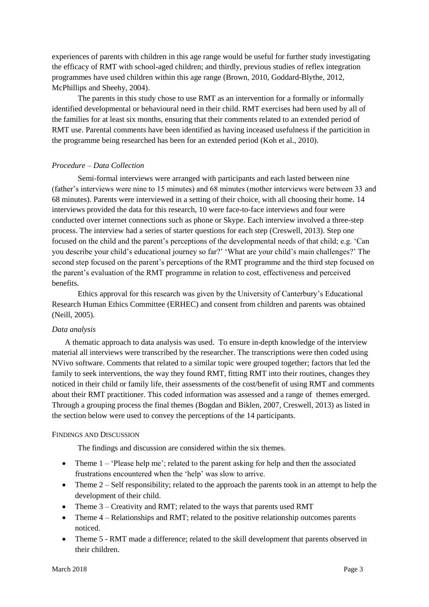experiences of parents with children in this age range would be useful for further study investigating the efficacy of RMT with school-aged children; and thirdly, previous studies of reflex integration programmes have used children within this age range (Brown, 2010, Goddard-Blythe, 2012, McPhillips and Sheehy, 2004).

The parents in this study chose to use RMT as an intervention for a formally or informally identified developmental or behavioural need in their child. RMT exercises had been used by all of the families for at least six months, ensuring that their comments related to an extended period of RMT use. Parental comments have been identified as having inceased usefulness if the particition in the programme being researched has been for an extended period (Koh et al., 2010).

## *Procedure – Data Collection*

Semi-formal interviews were arranged with participants and each lasted between nine (father's interviews were nine to 15 minutes) and 68 minutes (mother interviews were between 33 and 68 minutes). Parents were interviewed in a setting of their choice, with all choosing their home. 14 interviews provided the data for this research, 10 were face-to-face interviews and four were conducted over internet connections such as phone or Skype. Each interview involved a three-step process. The interview had a series of starter questions for each step (Creswell, 2013). Step one focused on the child and the parent's perceptions of the developmental needs of that child; e.g. 'Can you describe your child's educational journey so far?' 'What are your child's main challenges?' The second step focused on the parent's perceptions of the RMT programme and the third step focused on the parent's evaluation of the RMT programme in relation to cost, effectiveness and perceived benefits.

Ethics approval for this research was given by the University of Canterbury's Educational Research Human Ethics Committee (ERHEC) and consent from children and parents was obtained (Neill, 2005).

## *Data analysis*

A thematic approach to data analysis was used. To ensure in-depth knowledge of the interview material all interviews were transcribed by the researcher. The transcriptions were then coded using NVivo software. Comments that related to a similar topic were grouped together; factors that led the family to seek interventions, the way they found RMT, fitting RMT into their routines, changes they noticed in their child or family life, their assessments of the cost/benefit of using RMT and comments about their RMT practitioner. This coded information was assessed and a range of themes emerged. Through a grouping process the final themes (Bogdan and Biklen, 2007, Creswell, 2013) as listed in the section below were used to convey the perceptions of the 14 participants.

## FINDINGS AND DISCUSSION

The findings and discussion are considered within the six themes.

- Theme  $1 -$  'Please help me'; related to the parent asking for help and then the associated frustrations encountered when the 'help' was slow to arrive.
- Theme  $2 Self$  responsibility; related to the approach the parents took in an attempt to help the development of their child.
- Theme 3 Creativity and RMT; related to the ways that parents used RMT
- Theme 4 Relationships and RMT; related to the positive relationship outcomes parents noticed.
- Theme 5 RMT made a difference; related to the skill development that parents observed in their children.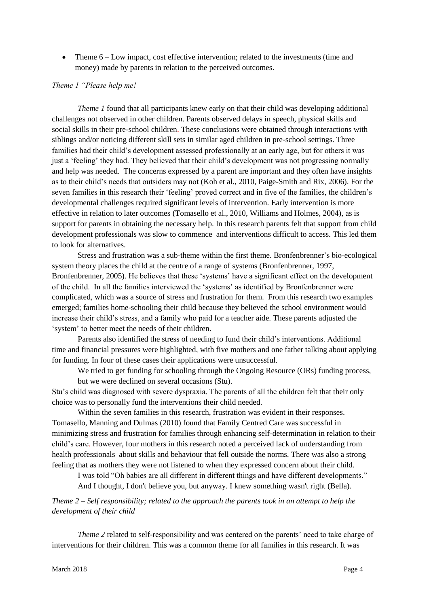• Theme  $6$  – Low impact, cost effective intervention; related to the investments (time and money) made by parents in relation to the perceived outcomes.

## *Theme 1 "Please help me!*

*Theme 1* found that all participants knew early on that their child was developing additional challenges not observed in other children. Parents observed delays in speech, physical skills and social skills in their pre-school children. These conclusions were obtained through interactions with siblings and/or noticing different skill sets in similar aged children in pre-school settings. Three families had their child's development assessed professionally at an early age, but for others it was just a 'feeling' they had. They believed that their child's development was not progressing normally and help was needed. The concerns expressed by a parent are important and they often have insights as to their child's needs that outsiders may not (Koh et al., 2010, Paige-Smith and Rix, 2006). For the seven families in this research their 'feeling' proved correct and in five of the families, the children's developmental challenges required significant levels of intervention. Early intervention is more effective in relation to later outcomes (Tomasello et al., 2010, Williams and Holmes, 2004), as is support for parents in obtaining the necessary help. In this research parents felt that support from child development professionals was slow to commence and interventions difficult to access. This led them to look for alternatives.

Stress and frustration was a sub-theme within the first theme. Bronfenbrenner's bio-ecological system theory places the child at the centre of a range of systems (Bronfenbrenner, 1997, Bronfenbrenner, 2005). He believes that these 'systems' have a significant effect on the development of the child. In all the families interviewed the 'systems' as identified by Bronfenbrenner were complicated, which was a source of stress and frustration for them. From this research two examples emerged; families home-schooling their child because they believed the school environment would increase their child's stress, and a family who paid for a teacher aide. These parents adjusted the 'system' to better meet the needs of their children.

Parents also identified the stress of needing to fund their child's interventions. Additional time and financial pressures were highlighted, with five mothers and one father talking about applying for funding. In four of these cases their applications were unsuccessful.

We tried to get funding for schooling through the Ongoing Resource (ORs) funding process,

but we were declined on several occasions (Stu). Stu's child was diagnosed with severe dyspraxia. The parents of all the children felt that their only choice was to personally fund the interventions their child needed.

Within the seven families in this research, frustration was evident in their responses. Tomasello, Manning and Dulmas (2010) found that Family Centred Care was successful in minimizing stress and frustration for families through enhancing self-determination in relation to their child's care. However, four mothers in this research noted a perceived lack of understanding from health professionals about skills and behaviour that fell outside the norms. There was also a strong feeling that as mothers they were not listened to when they expressed concern about their child.

I was told "Oh babies are all different in different things and have different developments." And I thought, I don't believe you, but anyway. I knew something wasn't right (Bella).

*Theme 2 – Self responsibility; related to the approach the parents took in an attempt to help the development of their child*

*Theme 2* related to self-responsibility and was centered on the parents' need to take charge of interventions for their children. This was a common theme for all families in this research. It was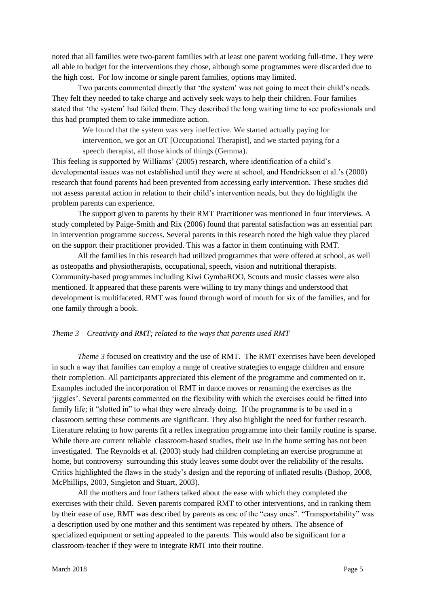noted that all families were two-parent families with at least one parent working full-time. They were all able to budget for the interventions they chose, although some programmes were discarded due to the high cost. For low income or single parent families, options may limited.

Two parents commented directly that 'the system' was not going to meet their child's needs. They felt they needed to take charge and actively seek ways to help their children. Four families stated that 'the system' had failed them. They described the long waiting time to see professionals and this had prompted them to take immediate action.

We found that the system was very ineffective. We started actually paying for intervention, we got an OT [Occupational Therapist], and we started paying for a speech therapist, all those kinds of things (Gemma).

This feeling is supported by Williams' (2005) research, where identification of a child's developmental issues was not established until they were at school, and Hendrickson et al.'s (2000) research that found parents had been prevented from accessing early intervention. These studies did not assess parental action in relation to their child's intervention needs, but they do highlight the problem parents can experience.

The support given to parents by their RMT Practitioner was mentioned in four interviews. A study completed by Paige-Smith and Rix (2006) found that parental satisfaction was an essential part in intervention programme success. Several parents in this research noted the high value they placed on the support their practitioner provided. This was a factor in them continuing with RMT.

All the families in this research had utilized programmes that were offered at school, as well as osteopaths and physiotherapists, occupational, speech, vision and nutritional therapists. Community-based programmes including Kiwi GymbaROO, Scouts and music classes were also mentioned. It appeared that these parents were willing to try many things and understood that development is multifaceted. RMT was found through word of mouth for six of the families, and for one family through a book.

## *Theme 3 – Creativity and RMT; related to the ways that parents used RMT*

*Theme 3* focused on creativity and the use of RMT. The RMT exercises have been developed in such a way that families can employ a range of creative strategies to engage children and ensure their completion. All participants appreciated this element of the programme and commented on it. Examples included the incorporation of RMT in dance moves or renaming the exercises as the 'jiggles'. Several parents commented on the flexibility with which the exercises could be fitted into family life; it "slotted in" to what they were already doing. If the programme is to be used in a classroom setting these comments are significant. They also highlight the need for further research. Literature relating to how parents fit a reflex integration programme into their family routine is sparse. While there are current reliable classroom-based studies, their use in the home setting has not been investigated. The Reynolds et al. (2003) study had children completing an exercise programme at home, but controversy surrounding this study leaves some doubt over the reliability of the results. Critics highlighted the flaws in the study's design and the reporting of inflated results (Bishop, 2008, McPhillips, 2003, Singleton and Stuart, 2003).

All the mothers and four fathers talked about the ease with which they completed the exercises with their child. Seven parents compared RMT to other interventions, and in ranking them by their ease of use, RMT was described by parents as one of the "easy ones". "Transportability" was a description used by one mother and this sentiment was repeated by others. The absence of specialized equipment or setting appealed to the parents. This would also be significant for a classroom-teacher if they were to integrate RMT into their routine.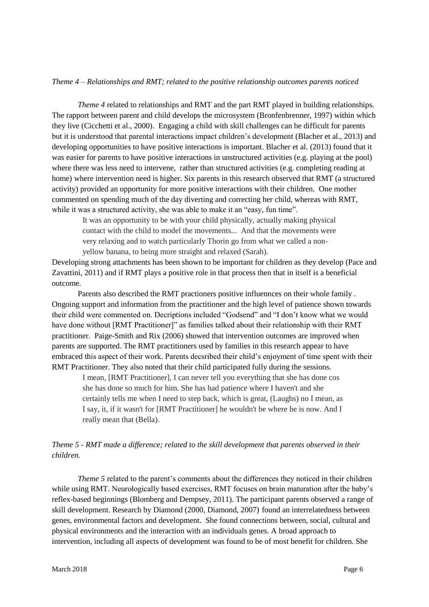#### *Theme 4 – Relationships and RMT; related to the positive relationship outcomes parents noticed*

*Theme 4* related to relationships and RMT and the part RMT played in building relationships. The rapport between parent and child develops the microsystem (Bronfenbrenner, 1997) within which they live (Cicchetti et al., 2000). Engaging a child with skill challenges can be difficult for parents but it is understood that parental interactions impact children's development (Blacher et al., 2013) and developing opportunities to have positive interactions is important. Blacher et al. (2013) found that it was easier for parents to have positive interactions in unstructured activities (e.g. playing at the pool) where there was less need to intervene, rather than structured activities (e.g. completing reading at home) where intervention need is higher. Six parents in this research observed that RMT (a structured activity) provided an opportunity for more positive interactions with their children. One mother commented on spending much of the day diverting and correcting her child, whereas with RMT, while it was a structured activity, she was able to make it an "easy, fun time".

It was an opportunity to be with your child physically, actually making physical contact with the child to model the movements... And that the movements were very relaxing and to watch particularly Thorin go from what we called a nonyellow banana, to being more straight and relaxed (Sarah).

Developing strong attachments has been shown to be important for children as they develop (Pace and Zavattini, 2011) and if RMT plays a positive role in that process then that in itself is a beneficial outcome.

Parents also described the RMT practioners positive influennces on their whole family . Ongoing support and information from the practitioner and the high level of patience shown towards their child were commented on. Decriptions included "Godsend" and "I don't know what we would have done without [RMT Practitioner]" as families talked about their relationship with their RMT practitioner. Paige-Smith and Rix (2006) showed that intervention outcomes are improved when parents are supported. The RMT practitioners used by families in this research appear to have embraced this aspect of their work. Parents decsribed their child's enjoyment of time spent with their RMT Practitioner. They also noted that their child participated fully during the sessions.

I mean, [RMT Practitioner], I can never tell you everything that she has done cos she has done so much for him. She has had patience where I haven't and she certainly tells me when I need to step back, which is great, (Laughs) no I mean, as I say, it, if it wasn't for [RMT Practitioner] he wouldn't be where he is now. And I really mean that (Bella).

# *Theme 5 - RMT made a difference; related to the skill development that parents observed in their children.*

*Theme 5* related to the parent's comments about the differences they noticed in their children while using RMT. Neurologically based exercises, RMT focuses on brain maturation after the baby's reflex-based beginnings (Blomberg and Dempsey, 2011). The participant parents observed a range of skill development. Research by Diamond (2000, Diamond, 2007) found an interrelatedness between genes, environmental factors and development. She found connections between, social, cultural and physical environments and the interaction with an individuals genes. A broad approach to intervention, including all aspects of development was found to be of most benefit for children. She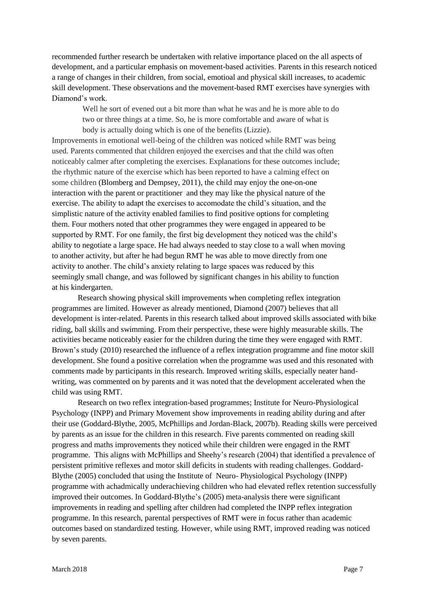recommended further research be undertaken with relative importance placed on the all aspects of development, and a particular emphasis on movement-based activities. Parents in this research noticed a range of changes in their children, from social, emotioal and physical skill increases, to academic skill development. These observations and the movement-based RMT exercises have synergies with Diamond's work.

Well he sort of evened out a bit more than what he was and he is more able to do two or three things at a time. So, he is more comfortable and aware of what is body is actually doing which is one of the benefits (Lizzie).

Improvements in emotional well-being of the children was noticed while RMT was being used. Parents commented that children enjoyed the exercises and that the child was often noticeably calmer after completing the exercises. Explanations for these outcomes include; the rhythmic nature of the exercise which has been reported to have a calming effect on some children (Blomberg and Dempsey, 2011), the child may enjoy the one-on-one interaction with the parent or practitioner and they may like the physical nature of the exercise. The ability to adapt the exercises to accomodate the child's situation, and the simplistic nature of the activity enabled families to find positive options for completing them. Four mothers noted that other programmes they were engaged in appeared to be supported by RMT. For one family, the first big development they noticed was the child's ability to negotiate a large space. He had always needed to stay close to a wall when moving to another activity, but after he had begun RMT he was able to move directly from one activity to another. The child's anxiety relating to large spaces was reduced by this seemingly small change, and was followed by significant changes in his ability to function at his kindergarten.

Research showing physical skill improvements when completing reflex integration programmes are limited. However as already mentioned, Diamond (2007) believes that all development is inter-related. Parents in this research talked about improved skills associated with bike riding, ball skills and swimming. From their perspective, these were highly measurable skills. The activities became noticeably easier for the children during the time they were engaged with RMT. Brown's study (2010) researched the influence of a reflex integration programme and fine motor skill development. She found a positive correlation when the programme was used and this resonated with comments made by participants in this research. Improved writing skills, especially neater handwriting, was commented on by parents and it was noted that the development accelerated when the child was using RMT.

Research on two reflex integration-based programmes; Institute for Neuro-Physiological Psychology (INPP) and Primary Movement show improvements in reading ability during and after their use (Goddard-Blythe, 2005, McPhillips and Jordan-Black, 2007b). Reading skills were perceived by parents as an issue for the children in this research. Five parents commented on reading skill progress and maths improvements they noticed while their children were engaged in the RMT programme. This aligns with McPhillips and Sheehy's research (2004) that identified a prevalence of persistent primitive reflexes and motor skill deficits in students with reading challenges. Goddard-Blythe (2005) concluded that using the Institute of Neuro- Physiological Psychology (INPP) programme with achadmically underachieving children who had elevated reflex retention successfully improved their outcomes. In Goddard-Blythe's (2005) meta-analysis there were significant improvements in reading and spelling after children had completed the INPP reflex integration programme. In this research, parental perspectives of RMT were in focus rather than academic outcomes based on standardized testing. However, while using RMT, improved reading was noticed by seven parents.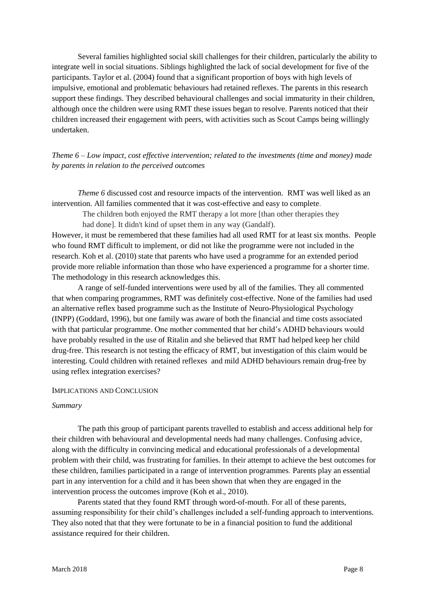Several families highlighted social skill challenges for their children, particularly the ability to integrate well in social situations. Siblings highlighted the lack of social development for five of the participants. Taylor et al. (2004) found that a significant proportion of boys with high levels of impulsive, emotional and problematic behaviours had retained reflexes. The parents in this research support these findings. They described behavioural challenges and social immaturity in their children, although once the children were using RMT these issues began to resolve. Parents noticed that their children increased their engagement with peers, with activities such as Scout Camps being willingly undertaken.

*Theme 6 – Low impact, cost effective intervention; related to the investments (time and money) made by parents in relation to the perceived outcomes*

*Theme 6* discussed cost and resource impacts of the intervention. RMT was well liked as an intervention. All families commented that it was cost-effective and easy to complete.

The children both enjoyed the RMT therapy a lot more [than other therapies they had done]. It didn't kind of upset them in any way (Gandalf).

However, it must be remembered that these families had all used RMT for at least six months. People who found RMT difficult to implement, or did not like the programme were not included in the research. Koh et al. (2010) state that parents who have used a programme for an extended period provide more reliable information than those who have experienced a programme for a shorter time. The methodology in this research acknowledges this.

A range of self-funded interventions were used by all of the families. They all commented that when comparing programmes, RMT was definitely cost-effective. None of the families had used an alternative reflex based programme such as the Institute of Neuro-Physiological Psychology (INPP) (Goddard, 1996), but one family was aware of both the financial and time costs associated with that particular programme. One mother commented that her child's ADHD behaviours would have probably resulted in the use of Ritalin and she believed that RMT had helped keep her child drug-free. This research is not testing the efficacy of RMT, but investigation of this claim would be interesting. Could children with retained reflexes and mild ADHD behaviours remain drug-free by using reflex integration exercises?

## IMPLICATIONS AND CONCLUSION

#### *Summary*

The path this group of participant parents travelled to establish and access additional help for their children with behavioural and developmental needs had many challenges. Confusing advice, along with the difficulty in convincing medical and educational professionals of a developmental problem with their child, was frustrating for families. In their attempt to achieve the best outcomes for these children, families participated in a range of intervention programmes. Parents play an essential part in any intervention for a child and it has been shown that when they are engaged in the intervention process the outcomes improve (Koh et al., 2010).

Parents stated that they found RMT through word-of-mouth. For all of these parents, assuming responsibility for their child's challenges included a self-funding approach to interventions. They also noted that that they were fortunate to be in a financial position to fund the additional assistance required for their children.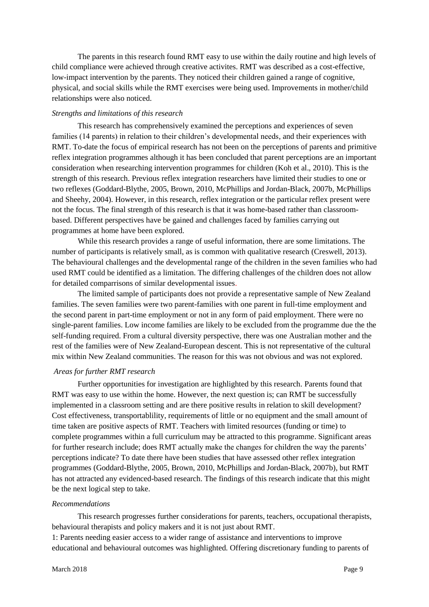The parents in this research found RMT easy to use within the daily routine and high levels of child compliance were achieved through creative activites. RMT was described as a cost-effective, low-impact intervention by the parents. They noticed their children gained a range of cognitive, physical, and social skills while the RMT exercises were being used. Improvements in mother/child relationships were also noticed.

#### *Strengths and limitations of this research*

This research has comprehensively examined the perceptions and experiences of seven families (14 parents) in relation to their children's developmental needs, and their experiences with RMT. To-date the focus of empirical research has not been on the perceptions of parents and primitive reflex integration programmes although it has been concluded that parent perceptions are an important consideration when researching intervention programmes for children (Koh et al., 2010). This is the strength of this research. Previous reflex integration researchers have limited their studies to one or two reflexes (Goddard-Blythe, 2005, Brown, 2010, McPhillips and Jordan-Black, 2007b, McPhillips and Sheehy, 2004). However, in this research, reflex integration or the particular reflex present were not the focus. The final strength of this research is that it was home-based rather than classroombased. Different perspectives have be gained and challenges faced by families carrying out programmes at home have been explored.

While this research provides a range of useful information, there are some limitations. The number of participants is relatively small, as is common with qualitative research (Creswell, 2013). The behavioural challenges and the developmental range of the children in the seven families who had used RMT could be identified as a limitation. The differing challenges of the children does not allow for detailed comparrisons of similar developmental issues.

The limited sample of participants does not provide a representative sample of New Zealand families. The seven families were two parent-families with one parent in full-time employment and the second parent in part-time employment or not in any form of paid employment. There were no single-parent families. Low income families are likely to be excluded from the programme due the the self-funding required. From a cultural diversity perspective, there was one Australian mother and the rest of the families were of New Zealand-European descent. This is not representative of the cultural mix within New Zealand communities. The reason for this was not obvious and was not explored.

#### *Areas for further RMT research*

Further opportunities for investigation are highlighted by this research. Parents found that RMT was easy to use within the home. However, the next question is; can RMT be successfully implemented in a classroom setting and are there positive results in relation to skill development? Cost effectiveness, transportablility, requirements of little or no equipment and the small amount of time taken are positive aspects of RMT. Teachers with limited resources (funding or time) to complete programmes within a full curriculum may be attracted to this programme. Significant areas for further research include; does RMT actually make the changes for children the way the parents' perceptions indicate? To date there have been studies that have assessed other reflex integration programmes (Goddard-Blythe, 2005, Brown, 2010, McPhillips and Jordan-Black, 2007b), but RMT has not attracted any evidenced-based research. The findings of this research indicate that this might be the next logical step to take.

## *Recommendations*

This research progresses further considerations for parents, teachers, occupational therapists, behavioural therapists and policy makers and it is not just about RMT.

1: Parents needing easier access to a wider range of assistance and interventions to improve educational and behavioural outcomes was highlighted. Offering discretionary funding to parents of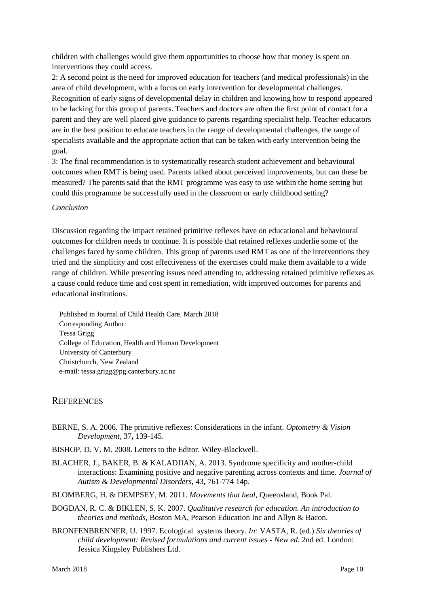children with challenges would give them opportunities to choose how that money is spent on interventions they could access.

2: A second point is the need for improved education for teachers (and medical professionals) in the area of child development, with a focus on early intervention for developmental challenges. Recognition of early signs of developmental delay in children and knowing how to respond appeared to be lacking for this group of parents. Teachers and doctors are often the first point of contact for a parent and they are well placed give guidance to parents regarding specialist help. Teacher educators are in the best position to educate teachers in the range of developmental challenges, the range of specialists available and the appropriate action that can be taken with early intervention being the goal.

3: The final recommendation is to systematically research student achievement and behavioural outcomes when RMT is being used. Parents talked about perceived improvements, but can these be measured? The parents said that the RMT programme was easy to use within the home setting but could this programme be successfully used in the classroom or early childhood setting?

#### *Conclusion*

Discussion regarding the impact retained primitive reflexes have on educational and behavioural outcomes for children needs to continue. It is possible that retained reflexes underlie some of the challenges faced by some children. This group of parents used RMT as one of the interventions they tried and the simplicity and cost effectiveness of the exercises could make them available to a wide range of children. While presenting issues need attending to, addressing retained primitive reflexes as a cause could reduce time and cost spent in remediation, with improved outcomes for parents and educational institutions.

Published in Journal of Child Health Care. March 2018 Corresponding Author: Tessa Grigg College of Education, Health and Human Development University of Canterbury Christchurch, New Zealand e-mail: tessa.grigg@pg.canterbury.ac.nz

# **REFERENCES**

- BERNE, S. A. 2006. The primitive reflexes: Considerations in the infant. *Optometry & Vision Development,* 37**,** 139-145.
- BISHOP, D. V. M. 2008. Letters to the Editor. Wiley-Blackwell.
- BLACHER, J., BAKER, B. & KALADJIAN, A. 2013. Syndrome specificity and mother-child interactions: Examining positive and negative parenting across contexts and time. *Journal of Autism & Developmental Disorders,* 43**,** 761-774 14p.
- BLOMBERG, H. & DEMPSEY, M. 2011. *Movements that heal,* Queensland, Book Pal.
- BOGDAN, R. C. & BIKLEN, S. K. 2007. *Qualitative research for education. An introduction to theories and methods,* Boston MA, Pearson Education Inc and Allyn & Bacon.
- BRONFENBRENNER, U. 1997. Ecological systems theory. *In:* VASTA, R. (ed.) *Six theories of child development: Revised formulations and current issues - New ed.* 2nd ed. London: Jessica Kingsley Publishers Ltd.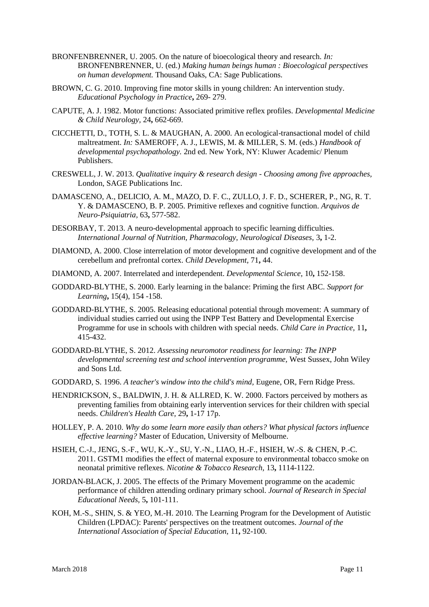- BRONFENBRENNER, U. 2005. On the nature of bioecological theory and research. *In:* BRONFENBRENNER, U. (ed.) *Making human beings human : Bioecological perspectives on human development.* Thousand Oaks, CA: Sage Publications.
- BROWN, C. G. 2010. Improving fine motor skills in young children: An intervention study. *Educational Psychology in Practice***,** 269- 279.
- CAPUTE, A. J. 1982. Motor functions: Associated primitive reflex profiles. *Developmental Medicine & Child Neurology,* 24**,** 662-669.
- CICCHETTI, D., TOTH, S. L. & MAUGHAN, A. 2000. An ecological-transactional model of child maltreatment. *In:* SAMEROFF, A. J., LEWIS, M. & MILLER, S. M. (eds.) *Handbook of developmental psychopathology.* 2nd ed. New York, NY: Kluwer Academic/ Plenum Publishers.
- CRESWELL, J. W. 2013. *Qualitative inquiry & research design - Choosing among five approaches,*  London, SAGE Publications Inc.
- DAMASCENO, A., DELICIO, A. M., MAZO, D. F. C., ZULLO, J. F. D., SCHERER, P., NG, R. T. Y. & DAMASCENO, B. P. 2005. Primitive reflexes and cognitive function. *Arquivos de Neuro-Psiquiatria,* 63**,** 577-582.
- DESORBAY, T. 2013. A neuro-developmental approach to specific learning difficulties. *International Journal of Nutrition, Pharmacology, Neurological Diseases,* 3**,** 1-2.
- DIAMOND, A. 2000. Close interrelation of motor development and cognitive development and of the cerebellum and prefrontal cortex. *Child Development,* 71**,** 44.
- DIAMOND, A. 2007. Interrelated and interdependent. *Developmental Science,* 10**,** 152-158.
- GODDARD-BLYTHE, S. 2000. Early learning in the balance: Priming the first ABC. *Support for Learning***,** 15(4), 154 -158.
- GODDARD-BLYTHE, S. 2005. Releasing educational potential through movement: A summary of individual studies carried out using the INPP Test Battery and Developmental Exercise Programme for use in schools with children with special needs. *Child Care in Practice,* 11**,** 415-432.
- GODDARD-BLYTHE, S. 2012. *Assessing neuromotor readiness for learning: The INPP developmental screening test and school intervention programme,* West Sussex, John Wiley and Sons Ltd.
- GODDARD, S. 1996. *A teacher's window into the child's mind,* Eugene, OR, Fern Ridge Press.
- HENDRICKSON, S., BALDWIN, J. H. & ALLRED, K. W. 2000. Factors perceived by mothers as preventing families from obtaining early intervention services for their children with special needs. *Children's Health Care,* 29**,** 1-17 17p.
- HOLLEY, P. A. 2010. *Why do some learn more easily than others? What physical factors influence effective learning?* Master of Education, University of Melbourne.
- HSIEH, C.-J., JENG, S.-F., WU, K.-Y., SU, Y.-N., LIAO, H.-F., HSIEH, W.-S. & CHEN, P.-C. 2011. GSTM1 modifies the effect of maternal exposure to environmental tobacco smoke on neonatal primitive reflexes. *Nicotine & Tobacco Research,* 13**,** 1114-1122.
- JORDAN-BLACK, J. 2005. The effects of the Primary Movement programme on the academic performance of children attending ordinary primary school. *Journal of Research in Special Educational Needs,* 5**,** 101-111.
- KOH, M.-S., SHIN, S. & YEO, M.-H. 2010. The Learning Program for the Development of Autistic Children (LPDAC): Parents' perspectives on the treatment outcomes. *Journal of the International Association of Special Education,* 11**,** 92-100.